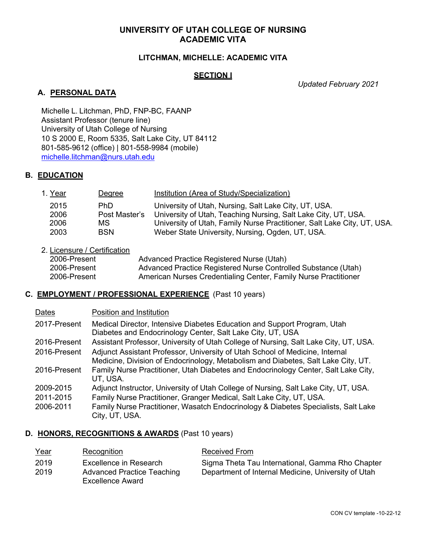#### **LITCHMAN, MICHELLE: ACADEMIC VITA**

#### **SECTION I**

*Updated February 2021*

### **A. PERSONAL DATA**

Michelle L. Litchman, PhD, FNP-BC, FAANP Assistant Professor (tenure line) University of Utah College of Nursing 10 S 2000 E, Room 5335, Salt Lake City, UT 84112 801-585-9612 (office) | 801-558-9984 (mobile) michelle.litchman@nurs.utah.edu

### **B. EDUCATION**

| 1. Year | Degree        | Institution (Area of Study/Specialization)                              |
|---------|---------------|-------------------------------------------------------------------------|
| 2015    | PhD.          | University of Utah, Nursing, Salt Lake City, UT, USA.                   |
| 2006    | Post Master's | University of Utah, Teaching Nursing, Salt Lake City, UT, USA.          |
| 2006    | MS.           | University of Utah, Family Nurse Practitioner, Salt Lake City, UT, USA. |
| 2003    | <b>BSN</b>    | Weber State University, Nursing, Ogden, UT, USA.                        |

## 2. Licensure / Certification

| 2006-Present | Advanced Practice Registered Nurse (Utah)                       |
|--------------|-----------------------------------------------------------------|
| 2006-Present | Advanced Practice Registered Nurse Controlled Substance (Utah)  |
| 2006-Present | American Nurses Credentialing Center, Family Nurse Practitioner |

#### **C. EMPLOYMENT / PROFESSIONAL EXPERIENCE** (Past 10 years)

| Dates        | Position and Institution                                                                                                                                          |
|--------------|-------------------------------------------------------------------------------------------------------------------------------------------------------------------|
| 2017-Present | Medical Director, Intensive Diabetes Education and Support Program, Utah<br>Diabetes and Endocrinology Center, Salt Lake City, UT, USA                            |
| 2016-Present | Assistant Professor, University of Utah College of Nursing, Salt Lake City, UT, USA.                                                                              |
| 2016-Present | Adjunct Assistant Professor, University of Utah School of Medicine, Internal<br>Medicine, Division of Endocrinology, Metabolism and Diabetes, Salt Lake City, UT. |
| 2016-Present | Family Nurse Practitioner, Utah Diabetes and Endocrinology Center, Salt Lake City,<br>UT, USA.                                                                    |
| 2009-2015    | Adjunct Instructor, University of Utah College of Nursing, Salt Lake City, UT, USA.                                                                               |
| 2011-2015    | Family Nurse Practitioner, Granger Medical, Salt Lake City, UT, USA.                                                                                              |
| 2006-2011    | Family Nurse Practitioner, Wasatch Endocrinology & Diabetes Specialists, Salt Lake<br>City, UT, USA.                                                              |

## **D. HONORS, RECOGNITIONS & AWARDS** (Past 10 years)

| Year | Recognition                                                  | Received From                                       |
|------|--------------------------------------------------------------|-----------------------------------------------------|
| 2019 | Excellence in Research                                       | Sigma Theta Tau International, Gamma Rho Chapter    |
| 2019 | <b>Advanced Practice Teaching</b><br><b>Excellence Award</b> | Department of Internal Medicine, University of Utah |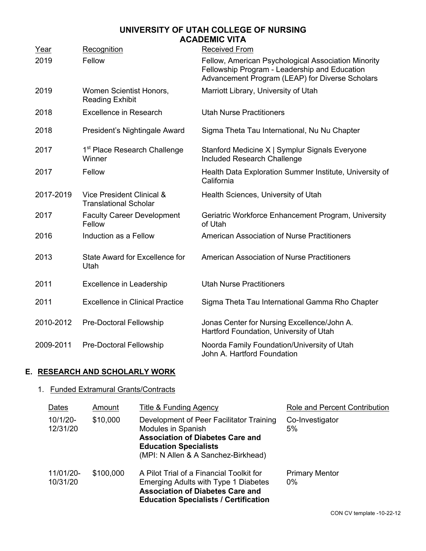| Year      | Recognition                                               | <b>Received From</b>                                                                                                                                    |
|-----------|-----------------------------------------------------------|---------------------------------------------------------------------------------------------------------------------------------------------------------|
| 2019      | Fellow                                                    | Fellow, American Psychological Association Minority<br>Fellowship Program - Leadership and Education<br>Advancement Program (LEAP) for Diverse Scholars |
| 2019      | Women Scientist Honors,<br><b>Reading Exhibit</b>         | Marriott Library, University of Utah                                                                                                                    |
| 2018      | <b>Excellence in Research</b>                             | <b>Utah Nurse Practitioners</b>                                                                                                                         |
| 2018      | President's Nightingale Award                             | Sigma Theta Tau International, Nu Nu Chapter                                                                                                            |
| 2017      | 1 <sup>st</sup> Place Research Challenge<br>Winner        | Stanford Medicine X   Symplur Signals Everyone<br>Included Research Challenge                                                                           |
| 2017      | Fellow                                                    | Health Data Exploration Summer Institute, University of<br>California                                                                                   |
| 2017-2019 | Vice President Clinical &<br><b>Translational Scholar</b> | Health Sciences, University of Utah                                                                                                                     |
| 2017      | <b>Faculty Career Development</b><br>Fellow               | Geriatric Workforce Enhancement Program, University<br>of Utah                                                                                          |
| 2016      | Induction as a Fellow                                     | <b>American Association of Nurse Practitioners</b>                                                                                                      |
| 2013      | State Award for Excellence for<br>Utah                    | <b>American Association of Nurse Practitioners</b>                                                                                                      |
| 2011      | <b>Excellence in Leadership</b>                           | <b>Utah Nurse Practitioners</b>                                                                                                                         |
| 2011      | <b>Excellence in Clinical Practice</b>                    | Sigma Theta Tau International Gamma Rho Chapter                                                                                                         |
| 2010-2012 | Pre-Doctoral Fellowship                                   | Jonas Center for Nursing Excellence/John A.<br>Hartford Foundation, University of Utah                                                                  |
| 2009-2011 | Pre-Doctoral Fellowship                                   | Noorda Family Foundation/University of Utah<br>John A. Hartford Foundation                                                                              |

## **E. RESEARCH AND SCHOLARLY WORK**

# 1. Funded Extramural Grants/Contracts

| Dates                   | Amount    | Title & Funding Agency                                                                                                                                                           | Role and Percent Contribution  |
|-------------------------|-----------|----------------------------------------------------------------------------------------------------------------------------------------------------------------------------------|--------------------------------|
| $10/1/20 -$<br>12/31/20 | \$10,000  | Development of Peer Facilitator Training<br>Modules in Spanish<br><b>Association of Diabetes Care and</b><br><b>Education Specialists</b><br>(MPI: N Allen & A Sanchez-Birkhead) | Co-Investigator<br>5%          |
| 11/01/20-<br>10/31/20   | \$100,000 | A Pilot Trial of a Financial Toolkit for<br>Emerging Adults with Type 1 Diabetes<br><b>Association of Diabetes Care and</b><br><b>Education Specialists / Certification</b>      | <b>Primary Mentor</b><br>$0\%$ |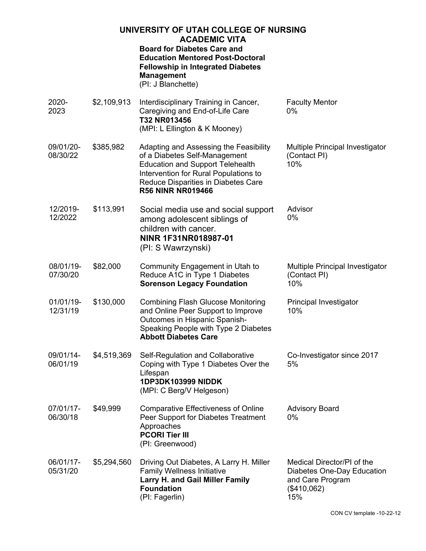| UNIVERSITY OF UTAH COLLEGE OF NURSING<br><b>ACADEMIC VITA</b> |             |                                                                                                                                                                                                                                |                                                                                                    |
|---------------------------------------------------------------|-------------|--------------------------------------------------------------------------------------------------------------------------------------------------------------------------------------------------------------------------------|----------------------------------------------------------------------------------------------------|
|                                                               |             | <b>Board for Diabetes Care and</b><br><b>Education Mentored Post-Doctoral</b><br><b>Fellowship in Integrated Diabetes</b><br><b>Management</b><br>(PI: J Blanchette)                                                           |                                                                                                    |
| 2020-<br>2023                                                 | \$2,109,913 | Interdisciplinary Training in Cancer,<br>Caregiving and End-of-Life Care<br>T32 NR013456<br>(MPI: L Ellington & K Mooney)                                                                                                      | <b>Faculty Mentor</b><br>$0\%$                                                                     |
| 09/01/20-<br>08/30/22                                         | \$385,982   | Adapting and Assessing the Feasibility<br>of a Diabetes Self-Management<br><b>Education and Support Telehealth</b><br>Intervention for Rural Populations to<br>Reduce Disparities in Diabetes Care<br><b>R56 NINR NR019466</b> | Multiple Principal Investigator<br>(Contact PI)<br>10%                                             |
| 12/2019-<br>12/2022                                           | \$113,991   | Social media use and social support<br>among adolescent siblings of<br>children with cancer.<br>NINR 1F31NR018987-01<br>(PI: S Wawrzynski)                                                                                     | Advisor<br>$0\%$                                                                                   |
| 08/01/19-<br>07/30/20                                         | \$82,000    | Community Engagement in Utah to<br>Reduce A1C in Type 1 Diabetes<br><b>Sorenson Legacy Foundation</b>                                                                                                                          | Multiple Principal Investigator<br>(Contact PI)<br>10%                                             |
| 01/01/19-<br>12/31/19                                         | \$130,000   | <b>Combining Flash Glucose Monitoring</b><br>and Online Peer Support to Improve<br>Outcomes in Hispanic Spanish-<br>Speaking People with Type 2 Diabetes<br><b>Abbott Diabetes Care</b>                                        | Principal Investigator<br>10%                                                                      |
| 09/01/14-<br>06/01/19                                         | \$4,519,369 | Self-Regulation and Collaborative<br>Coping with Type 1 Diabetes Over the<br>Lifespan<br>1DP3DK103999 NIDDK<br>(MPI: C Berg/V Helgeson)                                                                                        | Co-Investigator since 2017<br>5%                                                                   |
| 07/01/17-<br>06/30/18                                         | \$49,999    | <b>Comparative Effectiveness of Online</b><br>Peer Support for Diabetes Treatment<br>Approaches<br><b>PCORI Tier III</b><br>(PI: Greenwood)                                                                                    | <b>Advisory Board</b><br>$0\%$                                                                     |
| 06/01/17-<br>05/31/20                                         | \$5,294,560 | Driving Out Diabetes, A Larry H. Miller<br><b>Family Wellness Initiative</b><br><b>Larry H. and Gail Miller Family</b><br><b>Foundation</b><br>(PI: Fagerlin)                                                                  | Medical Director/PI of the<br>Diabetes One-Day Education<br>and Care Program<br>(\$410,062)<br>15% |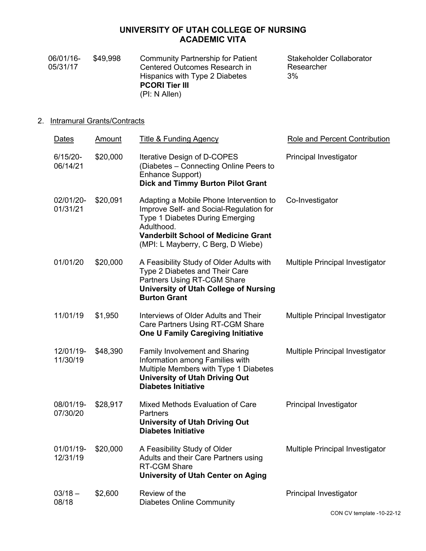|    | 06/01/16-<br>05/31/17  | \$49,998                           | <b>Community Partnership for Patient</b><br>Centered Outcomes Research in<br>Hispanics with Type 2 Diabetes<br><b>PCORI Tier III</b><br>(PI: N Allen) | Stakeholder Collaborator<br>Researcher<br>3% |
|----|------------------------|------------------------------------|-------------------------------------------------------------------------------------------------------------------------------------------------------|----------------------------------------------|
| 2. |                        | <b>Intramural Grants/Contracts</b> |                                                                                                                                                       |                                              |
|    | Dates                  | Amount                             | Title & Funding Agency                                                                                                                                | Role and Percent Contribution                |
|    | $6/15/20-$<br>06/14/21 | \$20,000                           | Iterative Design of D-COPES<br>(Diabetes - Connecting Online Peers to<br>Enhance Support)<br><b>Dick and Timmy Burton Pilot Grant</b>                 | <b>Principal Investigator</b>                |

- 02/01/20- 01/31/21 \$20,091 Adapting a Mobile Phone Intervention to Improve Self- and Social-Regulation for Type 1 Diabetes During Emerging Adulthood. **Vanderbilt School of Medicine Grant** (MPI: L Mayberry, C Berg, D Wiebe) Co-Investigator
- 01/01/20 \$20,000 A Feasibility Study of Older Adults with Type 2 Diabetes and Their Care Partners Using RT-CGM Share **University of Utah College of Nursing Burton Grant** Multiple Principal Investigator
- 11/01/19 \$1,950 Interviews of Older Adults and Their Care Partners Using RT-CGM Share **One U Family Caregiving Initiative** Multiple Principal Investigator
- 12/01/19- 11/30/19 \$48,390 Family Involvement and Sharing Information among Families with Multiple Members with Type 1 Diabetes **University of Utah Driving Out Diabetes Initiative** Multiple Principal Investigator
- 08/01/19- 07/30/20 \$28,917 Mixed Methods Evaluation of Care **Partners University of Utah Driving Out Diabetes Initiative** Principal Investigator
- 01/01/19- 12/31/19 \$20,000 A Feasibility Study of Older Adults and their Care Partners using RT-CGM Share **University of Utah Center on Aging** Multiple Principal Investigator
- $03/18 -$ 08/18 \$2,600 Review of the Diabetes Online Community Principal Investigator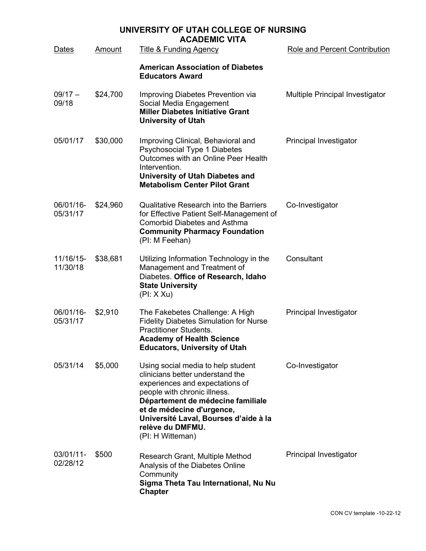|                       | UNIVERSITY OF UTAH COLLEGE OF NURSING<br><b>ACADEMIC VITA</b> |                                                                                                                                                                                                                                                                                              |                                      |  |  |
|-----------------------|---------------------------------------------------------------|----------------------------------------------------------------------------------------------------------------------------------------------------------------------------------------------------------------------------------------------------------------------------------------------|--------------------------------------|--|--|
| Dates                 | Amount                                                        | <b>Title &amp; Funding Agency</b>                                                                                                                                                                                                                                                            | <b>Role and Percent Contribution</b> |  |  |
|                       |                                                               | <b>American Association of Diabetes</b><br><b>Educators Award</b>                                                                                                                                                                                                                            |                                      |  |  |
| $09/17 -$<br>09/18    | \$24,700                                                      | Improving Diabetes Prevention via<br>Social Media Engagement<br><b>Miller Diabetes Initiative Grant</b><br><b>University of Utah</b>                                                                                                                                                         | Multiple Principal Investigator      |  |  |
| 05/01/17              | \$30,000                                                      | Improving Clinical, Behavioral and<br>Psychosocial Type 1 Diabetes<br>Outcomes with an Online Peer Health<br>Intervention.<br><b>University of Utah Diabetes and</b><br><b>Metabolism Center Pilot Grant</b>                                                                                 | Principal Investigator               |  |  |
| 06/01/16-<br>05/31/17 | \$24,960                                                      | <b>Qualitative Research into the Barriers</b><br>for Effective Patient Self-Management of<br><b>Comorbid Diabetes and Asthma</b><br><b>Community Pharmacy Foundation</b><br>(PI: M Feehan)                                                                                                   | Co-Investigator                      |  |  |
| 11/16/15-<br>11/30/18 | \$38,681                                                      | Utilizing Information Technology in the<br>Management and Treatment of<br>Diabetes. Office of Research, Idaho<br><b>State University</b><br>(PI: XXU)                                                                                                                                        | Consultant                           |  |  |
| 06/01/16-<br>05/31/17 | \$2,910                                                       | The Fakebetes Challenge: A High<br><b>Fidelity Diabetes Simulation for Nurse</b><br><b>Practitioner Students.</b><br><b>Academy of Health Science</b><br><b>Educators, University of Utah</b>                                                                                                | Principal Investigator               |  |  |
| 05/31/14              | \$5,000                                                       | Using social media to help student<br>clinicians better understand the<br>experiences and expectations of<br>people with chronic illness.<br>Département de médecine familiale<br>et de médecine d'urgence,<br>Université Laval, Bourses d'aide à la<br>relève du DMFMU.<br>(PI: H Witteman) | Co-Investigator                      |  |  |
| 03/01/11-<br>02/28/12 | \$500                                                         | Research Grant, Multiple Method<br>Analysis of the Diabetes Online<br>Community<br>Sigma Theta Tau International, Nu Nu<br><b>Chapter</b>                                                                                                                                                    | Principal Investigator               |  |  |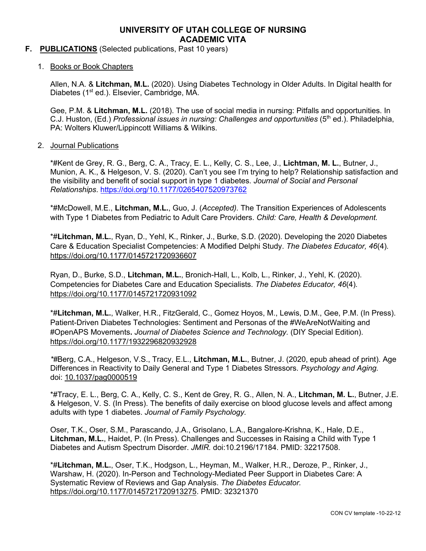#### **F. PUBLICATIONS** (Selected publications, Past 10 years)

1. Books or Book Chapters

Allen, N.A. & **Litchman, M.L.** (2020). Using Diabetes Technology in Older Adults. In Digital health for Diabetes (1<sup>st</sup> ed.). Elsevier, Cambridge, MA.

Gee, P.M. & **Litchman, M.L.** (2018). The use of social media in nursing: Pitfalls and opportunities. In C.J. Huston, (Ed.) *Professional issues in nursing: Challenges and opportunities* (5<sup>th</sup> ed.). Philadelphia, PA: Wolters Kluwer/Lippincott Williams & Wilkins.

#### 2. Journal Publications

\*#Kent de Grey, R. G., Berg, C. A., Tracy, E. L., Kelly, C. S., Lee, J., **Lichtman, M. L.**, Butner, J., Munion, A. K., & Helgeson, V. S. (2020). Can't you see I'm trying to help? Relationship satisfaction and the visibility and benefit of social support in type 1 diabetes. *Journal of Social and Personal Relationships*. https://doi.org/10.1177/0265407520973762

\*#McDowell, M.E., **Litchman, M.L.**, Guo, J. (*Accepted).* The Transition Experiences of Adolescents with Type 1 Diabetes from Pediatric to Adult Care Providers. *Child: Care, Health & Development.*

\*#**Litchman, M.L.**, Ryan, D., Yehl, K., Rinker, J., Burke, S.D. (2020). Developing the 2020 Diabetes Care & Education Specialist Competencies: A Modified Delphi Study. *The Diabetes Educator, 46*(4)*.* https://doi.org/10.1177/0145721720936607

Ryan, D., Burke, S.D., **Litchman, M.L.**, Bronich-Hall, L., Kolb, L., Rinker, J., Yehl, K. (2020). Competencies for Diabetes Care and Education Specialists. *The Diabetes Educator, 46*(4)*.* https://doi.org/10.1177/0145721720931092

\*#**Litchman, M.L.**, Walker, H.R., FitzGerald, C., Gomez Hoyos, M., Lewis, D.M., Gee, P.M. (In Press). Patient-Driven Diabetes Technologies: Sentiment and Personas of the #WeAreNotWaiting and #OpenAPS Movements**.** *Journal of Diabetes Science and Technology.* (DIY Special Edition). https://doi.org/10.1177/1932296820932928

*\*#*Berg, C.A., Helgeson, V.S., Tracy, E.L., **Litchman, M.L.**, Butner, J. (2020, epub ahead of print). Age Differences in Reactivity to Daily General and Type 1 Diabetes Stressors. *Psychology and Aging.* doi: 10.1037/pag0000519

\*#Tracy, E. L., Berg, C. A., Kelly, C. S., Kent de Grey, R. G., Allen, N. A., **Litchman, M. L.**, Butner, J.E. & Helgeson, V. S. (In Press). The benefits of daily exercise on blood glucose levels and affect among adults with type 1 diabetes. *Journal of Family Psychology.*

Oser, T.K., Oser, S.M., Parascando, J.A., Grisolano, L.A., Bangalore-Krishna, K., Hale, D.E., **Litchman, M.L.**, Haidet, P. (In Press). Challenges and Successes in Raising a Child with Type 1 Diabetes and Autism Spectrum Disorder. *JMIR.* doi:10.2196/17184. PMID: 32217508.

\*#**Litchman, M.L.**, Oser, T.K., Hodgson, L., Heyman, M., Walker, H.R., Deroze, P., Rinker, J., Warshaw, H. (2020). In-Person and Technology-Mediated Peer Support in Diabetes Care: A Systematic Review of Reviews and Gap Analysis. *The Diabetes Educator.* https://doi.org/10.1177/0145721720913275. PMID: 32321370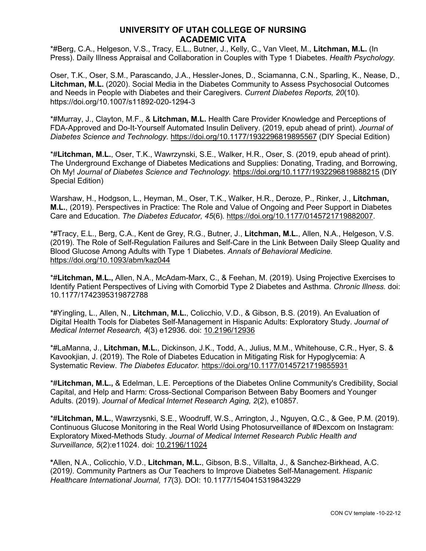\*#Berg, C.A., Helgeson, V.S., Tracy, E.L., Butner, J., Kelly, C., Van Vleet, M., **Litchman, M.L.** (In Press). Daily Illness Appraisal and Collaboration in Couples with Type 1 Diabetes. *Health Psychology.*

Oser, T.K., Oser, S.M., Parascando, J.A., Hessler-Jones, D., Sciamanna, C.N., Sparling, K., Nease, D., **Litchman, M.L.** (2020). Social Media in the Diabetes Community to Assess Psychosocial Outcomes and Needs in People with Diabetes and their Caregivers. *Current Diabetes Reports, 20*(10)*.*  https://doi.org/10.1007/s11892-020-1294-3

\*#Murray, J., Clayton, M.F., & **Litchman, M.L.** Health Care Provider Knowledge and Perceptions of FDA-Approved and Do-It-Yourself Automated Insulin Delivery. (2019, epub ahead of print). *Journal of Diabetes Science and Technology.* https://doi.org/10.1177/1932296819895567 (DIY Special Edition)

\*#**Litchman, M.L.**, Oser, T.K., Wawrzynski, S.E., Walker, H.R., Oser, S. (2019, epub ahead of print). The Underground Exchange of Diabetes Medications and Supplies: Donating, Trading, and Borrowing, Oh My! *Journal of Diabetes Science and Technology.* https://doi.org/10.1177/1932296819888215 (DIY Special Edition)

Warshaw, H., Hodgson, L., Heyman, M., Oser, T.K., Walker, H.R., Deroze, P., Rinker, J., **Litchman, M.L.**, (2019). Perspectives in Practice: The Role and Value of Ongoing and Peer Support in Diabetes Care and Education. *The Diabetes Educator, 45*(6)*.* https://doi.org/10.1177/0145721719882007.

\*#Tracy, E.L., Berg, C.A., Kent de Grey, R.G., Butner, J., **Litchman, M.L.**, Allen, N.A., Helgeson, V.S. (2019). The Role of Self-Regulation Failures and Self-Care in the Link Between Daily Sleep Quality and Blood Glucose Among Adults with Type 1 Diabetes. *Annals of Behavioral Medicine.* https://doi.org/10.1093/abm/kaz044

\*#**Litchman, M.L.,** Allen, N.A., McAdam-Marx, C., & Feehan, M. (2019). Using Projective Exercises to Identify Patient Perspectives of Living with Comorbid Type 2 Diabetes and Asthma. *Chronic Illness.* doi: 10.1177/1742395319872788

\*#Yingling, L., Allen, N., **Litchman, M.L.**, Colicchio, V.D., & Gibson, B.S. (2019). An Evaluation of Digital Health Tools for Diabetes Self-Management in Hispanic Adults: Exploratory Study. *Journal of Medical Internet Research, 4*(3) e12936*.* doi: 10.2196/12936

\*#LaManna, J., **Litchman, M.L.**, Dickinson, J.K., Todd, A., Julius, M.M., Whitehouse, C.R., Hyer, S. & Kavookjian, J. (2019). The Role of Diabetes Education in Mitigating Risk for Hypoglycemia: A Systematic Review. *The Diabetes Educator.* https://doi.org/10.1177/0145721719855931

\*#**Litchman, M.L.,** & Edelman, L.E. Perceptions of the Diabetes Online Community's Credibility, Social Capital, and Help and Harm: Cross-Sectional Comparison Between Baby Boomers and Younger Adults. (2019). *Journal of Medical Internet Research Aging, 2*(2), e10857*.*

\*#**Litchman, M.L.**, Wawrzysnki, S.E., Woodruff, W.S., Arrington, J., Nguyen, Q.C., & Gee, P.M. (2019). Continuous Glucose Monitoring in the Real World Using Photosurveillance of #Dexcom on Instagram: Exploratory Mixed-Methods Study. *Journal of Medical Internet Research Public Health and Surveillance, 5*(2):e11024. doi: 10.2196/11024

**\***Allen, N.A., Colicchio, V.D., **Litchman, M.L.**, Gibson, B.S., Villalta, J., & Sanchez-Birkhead, A.C. (2019*).* Community Partners as Our Teachers to Improve Diabetes Self-Management. *Hispanic Healthcare International Journal, 17*(3)*.* DOI: 10.1177/1540415319843229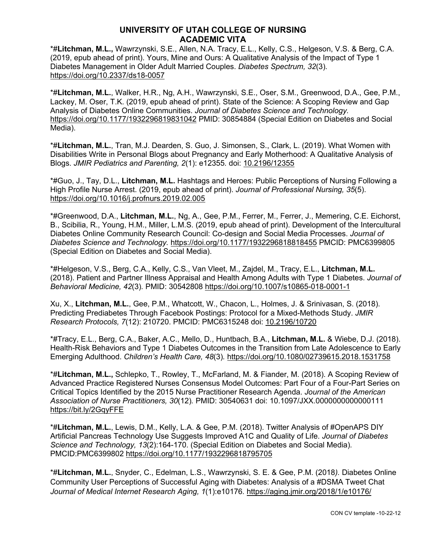\*#**Litchman, M.L.,** Wawrzynski, S.E., Allen, N.A. Tracy, E.L., Kelly, C.S., Helgeson, V.S. & Berg, C.A. (2019, epub ahead of print). Yours, Mine and Ours: A Qualitative Analysis of the Impact of Type 1 Diabetes Management in Older Adult Married Couples. *Diabetes Spectrum, 32*(3)*.*  https://doi.org/10.2337/ds18-0057

\*#**Litchman, M.L.**, Walker, H.R., Ng, A.H., Wawrzynski, S.E., Oser, S.M., Greenwood, D.A., Gee, P.M., Lackey, M. Oser, T.K. (2019, epub ahead of print). State of the Science: A Scoping Review and Gap Analysis of Diabetes Online Communities. *Journal of Diabetes Science and Technology.* https://doi.org/10.1177/1932296819831042 PMID: 30854884 (Special Edition on Diabetes and Social Media).

\*#**Litchman, M.L.**, Tran, M.J. Dearden, S. Guo, J. Simonsen, S., Clark, L. (2019). What Women with Disabilities Write in Personal Blogs about Pregnancy and Early Motherhood: A Qualitative Analysis of Blogs. *JMIR Pediatrics and Parenting, 2*(1): e12355*.* doi: 10.2196/12355

\*#Guo, J., Tay, D.L., **Litchman, M.L.** Hashtags and Heroes: Public Perceptions of Nursing Following a High Profile Nurse Arrest. (2019, epub ahead of print). *Journal of Professional Nursing, 35*(5). https://doi.org/10.1016/j.profnurs.2019.02.005

\*#Greenwood, D.A., **Litchman, M.L.**, Ng, A., Gee, P.M., Ferrer, M., Ferrer, J., Memering, C.E. Eichorst, B., Scibilia, R., Young, H.M., Miller, L.M.S. (2019, epub ahead of print). Development of the Intercultural Diabetes Online Community Research Council: Co-design and Social Media Processes. *Journal of Diabetes Science and Technology.* https://doi.org/10.1177/1932296818818455 PMCID: PMC6399805 (Special Edition on Diabetes and Social Media).

\*#Helgeson, V.S., Berg, C.A., Kelly, C.S., Van Vleet, M., Zajdel, M., Tracy, E.L., **Litchman, M.L.** (2018). Patient and Partner Illness Appraisal and Health Among Adults with Type 1 Diabetes. *Journal of Behavioral Medicine, 42*(3)*.* PMID: 30542808 https://doi.org/10.1007/s10865-018-0001-1

Xu, X., **Litchman, M.L.**, Gee, P.M., Whatcott, W., Chacon, L., Holmes, J. & Srinivasan, S. (2018). Predicting Prediabetes Through Facebook Postings: Protocol for a Mixed-Methods Study. *JMIR Research Protocols, 7*(12): 210720. PMCID: PMC6315248 doi: 10.2196/10720

\*#Tracy, E.L., Berg, C.A., Baker, A.C., Mello, D., Huntbach, B.A., **Litchman, M.L.** & Wiebe, D.J. (2018). Health-Risk Behaviors and Type 1 Diabetes Outcomes in the Transition from Late Adolescence to Early Emerging Adulthood. *Children's Health Care, 48*(3)*.* https://doi.org/10.1080/02739615.2018.1531758

\*#**Litchman, M.L.,** Schlepko, T., Rowley, T., McFarland, M. & Fiander, M. (2018). A Scoping Review of Advanced Practice Registered Nurses Consensus Model Outcomes: Part Four of a Four-Part Series on Critical Topics Identified by the 2015 Nurse Practitioner Research Agenda. *Journal of the American Association of Nurse Practitioners, 30*(12)*.* PMID: 30540631 doi: 10.1097/JXX.0000000000000111 https://bit.ly/2GqyFFE

\*#**Litchman, M.L.**, Lewis, D.M., Kelly, L.A. & Gee, P.M. (2018). Twitter Analysis of #OpenAPS DIY Artificial Pancreas Technology Use Suggests Improved A1C and Quality of Life. *Journal of Diabetes Science and Technology, 13*(2):164-170. (Special Edition on Diabetes and Social Media)*.* PMCID:PMC6399802 https://doi.org/10.1177/1932296818795705

\*#**Litchman, M.L.**, Snyder, C., Edelman, L.S., Wawrzynski, S. E. & Gee, P.M. (2018*).* Diabetes Online Community User Perceptions of Successful Aging with Diabetes: Analysis of a #DSMA Tweet Chat *Journal of Medical Internet Research Aging, 1*(1):e10176*.* https://aging.jmir.org/2018/1/e10176/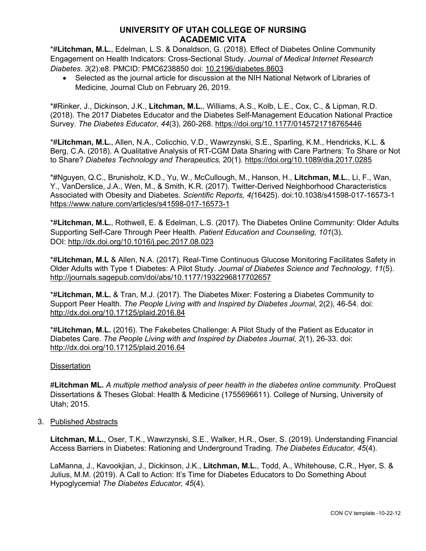\*#**Litchman, M.L.**, Edelman, L.S. & Donaldson, G. (2018). Effect of Diabetes Online Community Engagement on Health Indicators: Cross-Sectional Study. *Journal of Medical Internet Research Diabetes. 3*(2):e8. PMCID: PMC6238850 doi: 10.2196/diabetes.8603

• Selected as the journal article for discussion at the NIH National Network of Libraries of Medicine, Journal Club on February 26, 2019.

\*#Rinker, J., Dickinson, J.K., **Litchman, M.L.**, Williams, A.S., Kolb, L.E., Cox, C., & Lipman, R.D. (2018). The 2017 Diabetes Educator and the Diabetes Self-Management Education National Practice Survey. *The Diabetes Educator, 44*(3), 260-268*.* https://doi.org/10.1177/0145721718765446

\*#**Litchman, M.L.**, Allen, N.A., Colicchio, V.D., Wawrzynski, S.E., Sparling, K.M., Hendricks, K.L. & Berg, C.A. (2018). A Qualitative Analysis of RT-CGM Data Sharing with Care Partners: To Share or Not to Share? *Diabetes Technology and Therapeutics,* 20(1)*.* https://doi.org/10.1089/dia.2017.0285

\*#Nguyen, Q.C., Brunisholz, K.D., Yu, W., McCullough, M., Hanson, H., **Litchman, M.L.**, Li, F., Wan, Y., VanDerslice, J.A., Wen, M., & Smith, K.R. (2017). Twitter-Derived Neighborhood Characteristics Associated with Obesity and Diabetes. *Scientific Reports, 4(*16425). doi:10.1038/s41598-017-16573-1 https://www.nature.com/articles/s41598-017-16573-1

\*#**Litchman, M.L.**, Rothwell, E. & Edelman, L.S. (2017). The Diabetes Online Community: Older Adults Supporting Self-Care Through Peer Health. *Patient Education and Counseling, 101*(3)*.* DOI: http://dx.doi.org/10.1016/j.pec.2017.08.023

\*#**Litchman, M.L** & Allen, N.A. (2017). Real-Time Continuous Glucose Monitoring Facilitates Safety in Older Adults with Type 1 Diabetes: A Pilot Study. *Journal of Diabetes Science and Technology, 11*(5). http://journals.sagepub.com/doi/abs/10.1177/1932296817702657

\*#**Litchman, M.L.** & Tran, M.J. (2017). The Diabetes Mixer: Fostering a Diabetes Community to Support Peer Health. *The People Living with and Inspired by Diabetes Journal*, 2(2), 46-54. doi: http://dx.doi.org/10.17125/plaid.2016.84

\*#**Litchman, M.L.** (2016). The Fakebetes Challenge: A Pilot Study of the Patient as Educator in Diabetes Care. *The People Living with and Inspired by Diabetes Journal, 2*(1), 26-33. doi: http://dx.doi.org/10.17125/plaid.2016.64

#### **Dissertation**

#**Litchman ML.** *A multiple method analysis of peer health in the diabetes online community*. ProQuest Dissertations & Theses Global: Health & Medicine (1755696611). College of Nursing, University of Utah; 2015.

#### 3. Published Abstracts

**Litchman, M.L.**, Oser, T.K., Wawrzynski, S.E., Walker, H.R., Oser, S. (2019). Understanding Financial Access Barriers in Diabetes: Rationing and Underground Trading. *The Diabetes Educator, 45*(4).

LaManna, J., Kavookjian, J., Dickinson, J.K., **Litchman, M.L.**, Todd, A., Whitehouse, C.R., Hyer, S. & Julius, M.M. (2019). A Call to Action: It's Time for Diabetes Educators to Do Something About Hypoglycemia! *The Diabetes Educator, 45*(4).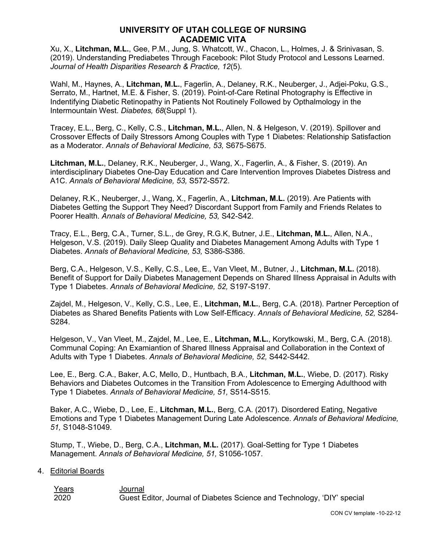Xu, X., **Litchman, M.L.**, Gee, P.M., Jung, S. Whatcott, W., Chacon, L., Holmes, J. & Srinivasan, S. (2019). Understanding Prediabetes Through Facebook: Pilot Study Protocol and Lessons Learned. *Journal of Health Disparities Research & Practice, 12*(5).

Wahl, M., Haynes, A., **Litchman, M.L.**, Fagerlin, A., Delaney, R.K., Neuberger, J., Adjei-Poku, G.S., Serrato, M., Hartnet, M.E. & Fisher, S. (2019). Point-of-Care Retinal Photography is Effective in Indentifying Diabetic Retinopathy in Patients Not Routinely Followed by Opthalmology in the Intermountain West. *Diabetes, 68*(Suppl 1).

Tracey, E.L., Berg, C., Kelly, C.S., **Litchman, M.L.**, Allen, N. & Helgeson, V. (2019). Spillover and Crossover Effects of Daily Stressors Among Couples with Type 1 Diabetes: Relationship Satisfaction as a Moderator. *Annals of Behavioral Medicine, 53,* S675-S675.

**Litchman, M.L.**, Delaney, R.K., Neuberger, J., Wang, X., Fagerlin, A., & Fisher, S. (2019). An interdisciplinary Diabetes One-Day Education and Care Intervention Improves Diabetes Distress and A1C. *Annals of Behavioral Medicine, 53,* S572-S572.

Delaney, R.K., Neuberger, J., Wang, X., Fagerlin, A., **Litchman, M.L.** (2019). Are Patients with Diabetes Getting the Support They Need? Discordant Support from Family and Friends Relates to Poorer Health. *Annals of Behavioral Medicine, 53,* S42-S42.

Tracy, E.L., Berg, C.A., Turner, S.L., de Grey, R.G.K, Butner, J.E., **Litchman, M.L.**, Allen, N.A., Helgeson, V.S. (2019). Daily Sleep Quality and Diabetes Management Among Adults with Type 1 Diabetes. *Annals of Behavioral Medicine, 53,* S386-S386.

Berg, C.A., Helgeson, V.S., Kelly, C.S., Lee, E., Van Vleet, M., Butner, J., **Litchman, M.L.** (2018). Benefit of Support for Daily Diabetes Management Depends on Shared Illness Appraisal in Adults with Type 1 Diabetes. *Annals of Behavioral Medicine, 52,* S197-S197.

Zajdel, M., Helgeson, V., Kelly, C.S., Lee, E., **Litchman, M.L.**, Berg, C.A. (2018). Partner Perception of Diabetes as Shared Benefits Patients with Low Self-Efficacy. *Annals of Behavioral Medicine, 52,* S284- S284.

Helgeson, V., Van Vleet, M., Zajdel, M., Lee, E., **Litchman, M.L.**, Korytkowski, M., Berg, C.A. (2018). Communal Coping: An Examiantion of Shared Illness Appraisal and Collaboration in the Context of Adults with Type 1 Diabetes. *Annals of Behavioral Medicine, 52,* S442-S442.

Lee, E., Berg. C.A., Baker, A.C, Mello, D., Huntbach, B.A., **Litchman, M.L.**, Wiebe, D. (2017). Risky Behaviors and Diabetes Outcomes in the Transition From Adolescence to Emerging Adulthood with Type 1 Diabetes. *Annals of Behavioral Medicine, 51,* S514-S515.

Baker, A.C., Wiebe, D., Lee, E., **Litchman, M.L.**, Berg, C.A. (2017). Disordered Eating, Negative Emotions and Type 1 Diabetes Management During Late Adolescence. *Annals of Behavioral Medicine, 51,* S1048-S1049.

Stump, T., Wiebe, D., Berg, C.A., **Litchman, M.L.** (2017). Goal-Setting for Type 1 Diabetes Management. *Annals of Behavioral Medicine, 51,* S1056-1057.

4. Editorial Boards

Years **Journal** 2020 Guest Editor, Journal of Diabetes Science and Technology, 'DIY' special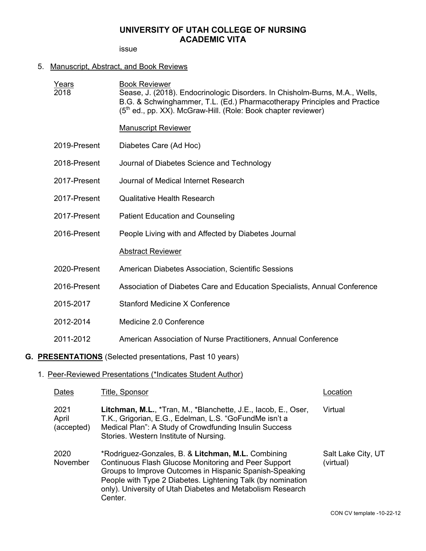issue

## 5. Manuscript, Abstract, and Book Reviews

| Years<br>2018               |              | <b>Book Reviewer</b><br>Sease, J. (2018). Endocrinologic Disorders. In Chisholm-Burns, M.A., Wells,<br>B.G. & Schwinghammer, T.L. (Ed.) Pharmacotherapy Principles and Practice<br>(5 <sup>th</sup> ed., pp. XX). McGraw-Hill. (Role: Book chapter reviewer)                                                  |                                 |
|-----------------------------|--------------|---------------------------------------------------------------------------------------------------------------------------------------------------------------------------------------------------------------------------------------------------------------------------------------------------------------|---------------------------------|
|                             |              | <b>Manuscript Reviewer</b>                                                                                                                                                                                                                                                                                    |                                 |
|                             | 2019-Present | Diabetes Care (Ad Hoc)                                                                                                                                                                                                                                                                                        |                                 |
|                             | 2018-Present | Journal of Diabetes Science and Technology                                                                                                                                                                                                                                                                    |                                 |
|                             | 2017-Present | Journal of Medical Internet Research                                                                                                                                                                                                                                                                          |                                 |
|                             | 2017-Present | <b>Qualitative Health Research</b>                                                                                                                                                                                                                                                                            |                                 |
|                             | 2017-Present | <b>Patient Education and Counseling</b>                                                                                                                                                                                                                                                                       |                                 |
|                             | 2016-Present | People Living with and Affected by Diabetes Journal                                                                                                                                                                                                                                                           |                                 |
|                             |              | <b>Abstract Reviewer</b>                                                                                                                                                                                                                                                                                      |                                 |
|                             | 2020-Present | American Diabetes Association, Scientific Sessions                                                                                                                                                                                                                                                            |                                 |
|                             | 2016-Present | Association of Diabetes Care and Education Specialists, Annual Conference                                                                                                                                                                                                                                     |                                 |
| 2015-2017                   |              | <b>Stanford Medicine X Conference</b>                                                                                                                                                                                                                                                                         |                                 |
| 2012-2014                   |              | Medicine 2.0 Conference                                                                                                                                                                                                                                                                                       |                                 |
| 2011-2012                   |              | American Association of Nurse Practitioners, Annual Conference                                                                                                                                                                                                                                                |                                 |
|                             |              | <b>G. PRESENTATIONS</b> (Selected presentations, Past 10 years)                                                                                                                                                                                                                                               |                                 |
|                             |              | 1. Peer-Reviewed Presentations (*Indicates Student Author)                                                                                                                                                                                                                                                    |                                 |
| <u>Dates</u>                |              | <b>Title, Sponsor</b>                                                                                                                                                                                                                                                                                         | Location                        |
| 2021<br>April<br>(accepted) |              | Litchman, M.L., *Tran, M., *Blanchette, J.E., lacob, E., Oser,<br>T.K., Grigorian, E.G., Edelman, L.S. "GoFundMe isn't a<br>Medical Plan": A Study of Crowdfunding Insulin Success<br>Stories. Western Institute of Nursing.                                                                                  | Virtual                         |
| 2020<br>November            |              | *Rodriguez-Gonzales, B. & Litchman, M.L. Combining<br>Continuous Flash Glucose Monitoring and Peer Support<br>Groups to Improve Outcomes in Hispanic Spanish-Speaking<br>People with Type 2 Diabetes. Lightening Talk (by nomination<br>only). University of Utah Diabetes and Metabolism Research<br>Center. | Salt Lake City, UT<br>(virtual) |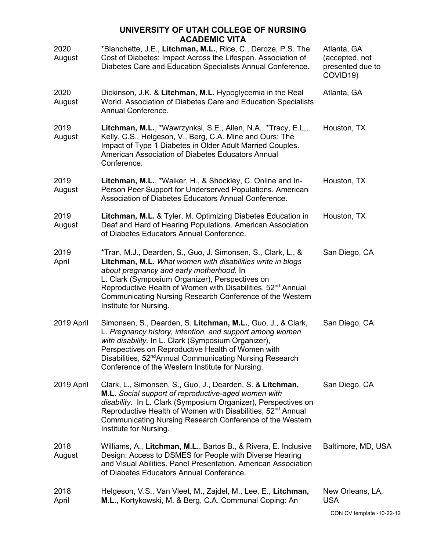| 2020<br>August | *Blanchette, J.E., Litchman, M.L., Rice, C., Deroze, P.S. The<br>Cost of Diabetes: Impact Across the Lifespan. Association of<br>Diabetes Care and Education Specialists Annual Conference.                                                                                                                                                                                                | Atlanta, GA<br>(accepted, not<br>presented due to<br>COVID19) |
|----------------|--------------------------------------------------------------------------------------------------------------------------------------------------------------------------------------------------------------------------------------------------------------------------------------------------------------------------------------------------------------------------------------------|---------------------------------------------------------------|
| 2020<br>August | Dickinson, J.K. & Litchman, M.L. Hypoglycemia in the Real<br>World. Association of Diabetes Care and Education Specialists<br>Annual Conference.                                                                                                                                                                                                                                           | Atlanta, GA                                                   |
| 2019<br>August | Litchman, M.L., *Wawrzynksi, S.E., Allen, N.A., *Tracy, E.L,,<br>Kelly, C.S., Helgeson, V., Berg, C.A. Mine and Ours: The<br>Impact of Type 1 Diabetes in Older Adult Married Couples.<br>American Association of Diabetes Educators Annual<br>Conference.                                                                                                                                 | Houston, TX                                                   |
| 2019<br>August | Litchman, M.L., *Walker, H., & Shockley, C. Online and In-<br>Person Peer Support for Underserved Populations. American<br>Association of Diabetes Educators Annual Conference.                                                                                                                                                                                                            | Houston, TX                                                   |
| 2019<br>August | Litchman, M.L. & Tyler, M. Optimizing Diabetes Education in<br>Deaf and Hard of Hearing Populations. American Association<br>of Diabetes Educators Annual Conference.                                                                                                                                                                                                                      | Houston, TX                                                   |
| 2019<br>April  | *Tran, M.J., Dearden, S., Guo, J. Simonsen, S., Clark, L., &<br>Litchman, M.L. What women with disabilities write in blogs<br>about pregnancy and early motherhood. In<br>L. Clark (Symposium Organizer), Perspectives on<br>Reproductive Health of Women with Disabilities, 52 <sup>nd</sup> Annual<br>Communicating Nursing Research Conference of the Western<br>Institute for Nursing. | San Diego, CA                                                 |
| 2019 April     | Simonsen, S., Dearden, S. Litchman, M.L., Guo, J., & Clark,<br>L. Pregnancy history, intention, and support among women<br>with disability. In L. Clark (Symposium Organizer),<br>Perspectives on Reproductive Health of Women with<br>Disabilities, 52 <sup>nd</sup> Annual Communicating Nursing Research<br>Conference of the Western Institute for Nursing.                            | San Diego, CA                                                 |
| 2019 April     | Clark, L., Simonsen, S., Guo, J., Dearden, S. & Litchman,<br>M.L. Social support of reproductive-aged women with<br>disability. In L. Clark (Symposium Organizer), Perspectives on<br>Reproductive Health of Women with Disabilities, 52 <sup>nd</sup> Annual<br>Communicating Nursing Research Conference of the Western<br>Institute for Nursing.                                        | San Diego, CA                                                 |
| 2018<br>August | Williams, A., Litchman, M.L., Bartos B., & Rivera, E. Inclusive<br>Design: Access to DSMES for People with Diverse Hearing<br>and Visual Abilities. Panel Presentation. American Association<br>of Diabetes Educators Annual Conference.                                                                                                                                                   | Baltimore, MD, USA                                            |
| 2018<br>April  | Helgeson, V.S., Van Vleet, M., Zajdel, M., Lee, E., Litchman,<br>M.L., Kortykowski, M. & Berg, C.A. Communal Coping: An                                                                                                                                                                                                                                                                    | New Orleans, LA,<br><b>USA</b>                                |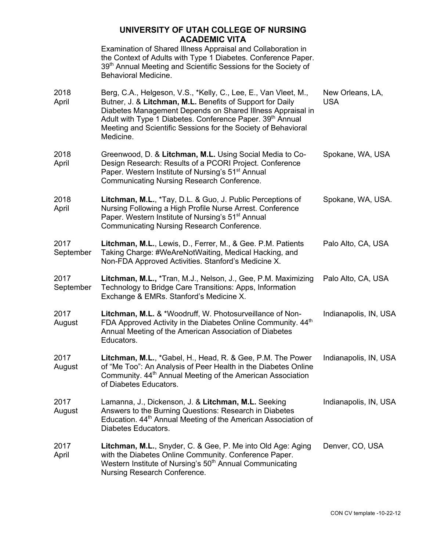Examination of Shared Illness Appraisal and Collaboration in the Context of Adults with Type 1 Diabetes. Conference Paper. 39<sup>th</sup> Annual Meeting and Scientific Sessions for the Society of Behavioral Medicine.

| 2018<br>April     | Berg, C.A., Helgeson, V.S., *Kelly, C., Lee, E., Van Vleet, M.,<br>Butner, J. & Litchman, M.L. Benefits of Support for Daily<br>Diabetes Management Depends on Shared Illness Appraisal in<br>Adult with Type 1 Diabetes. Conference Paper. 39th Annual<br>Meeting and Scientific Sessions for the Society of Behavioral<br>Medicine. | New Orleans, LA,<br><b>USA</b> |
|-------------------|---------------------------------------------------------------------------------------------------------------------------------------------------------------------------------------------------------------------------------------------------------------------------------------------------------------------------------------|--------------------------------|
| 2018<br>April     | Greenwood, D. & Litchman, M.L. Using Social Media to Co-<br>Design Research: Results of a PCORI Project. Conference<br>Paper. Western Institute of Nursing's 51 <sup>st</sup> Annual<br>Communicating Nursing Research Conference.                                                                                                    | Spokane, WA, USA               |
| 2018<br>April     | Litchman, M.L., *Tay, D.L. & Guo, J. Public Perceptions of<br>Nursing Following a High Profile Nurse Arrest. Conference<br>Paper. Western Institute of Nursing's 51 <sup>st</sup> Annual<br><b>Communicating Nursing Research Conference.</b>                                                                                         | Spokane, WA, USA.              |
| 2017<br>September | Litchman, M.L., Lewis, D., Ferrer, M., & Gee. P.M. Patients<br>Taking Charge: #WeAreNotWaiting, Medical Hacking, and<br>Non-FDA Approved Activities. Stanford's Medicine X.                                                                                                                                                           | Palo Alto, CA, USA             |
| 2017<br>September | Litchman, M.L., *Tran, M.J., Nelson, J., Gee, P.M. Maximizing<br>Technology to Bridge Care Transitions: Apps, Information<br>Exchange & EMRs. Stanford's Medicine X.                                                                                                                                                                  | Palo Alto, CA, USA             |
| 2017<br>August    | Litchman, M.L. & *Woodruff, W. Photosurveillance of Non-<br>FDA Approved Activity in the Diabetes Online Community. 44 <sup>th</sup><br>Annual Meeting of the American Association of Diabetes<br>Educators.                                                                                                                          | Indianapolis, IN, USA          |
| 2017<br>August    | Litchman, M.L., *Gabel, H., Head, R. & Gee, P.M. The Power<br>of "Me Too": An Analysis of Peer Health in the Diabetes Online<br>Community. 44 <sup>th</sup> Annual Meeting of the American Association<br>of Diabetes Educators.                                                                                                      | Indianapolis, IN, USA          |
| 2017<br>August    | Lamanna, J., Dickenson, J. & Litchman, M.L. Seeking<br>Answers to the Burning Questions: Research in Diabetes<br>Education. 44 <sup>th</sup> Annual Meeting of the American Association of<br>Diabetes Educators.                                                                                                                     | Indianapolis, IN, USA          |
| 2017<br>April     | Litchman, M.L., Snyder, C. & Gee, P. Me into Old Age: Aging<br>with the Diabetes Online Community. Conference Paper.<br>Western Institute of Nursing's 50 <sup>th</sup> Annual Communicating<br>Nursing Research Conference.                                                                                                          | Denver, CO, USA                |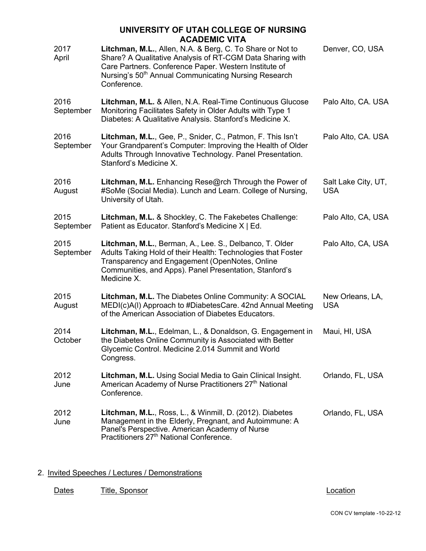|                   | UNIVERSITY OF UTAH COLLEGE OF NURSING<br><b>ACADEMIC VITA</b>                                                                                                                                                                                                      |                                   |
|-------------------|--------------------------------------------------------------------------------------------------------------------------------------------------------------------------------------------------------------------------------------------------------------------|-----------------------------------|
| 2017<br>April     | Litchman, M.L., Allen, N.A. & Berg, C. To Share or Not to<br>Share? A Qualitative Analysis of RT-CGM Data Sharing with<br>Care Partners. Conference Paper. Western Institute of<br>Nursing's 50 <sup>th</sup> Annual Communicating Nursing Research<br>Conference. | Denver, CO, USA                   |
| 2016<br>September | Litchman, M.L. & Allen, N.A. Real-Time Continuous Glucose<br>Monitoring Facilitates Safety in Older Adults with Type 1<br>Diabetes: A Qualitative Analysis. Stanford's Medicine X.                                                                                 | Palo Alto, CA. USA                |
| 2016<br>September | Litchman, M.L., Gee, P., Snider, C., Patmon, F. This Isn't<br>Your Grandparent's Computer: Improving the Health of Older<br>Adults Through Innovative Technology. Panel Presentation.<br>Stanford's Medicine X.                                                    | Palo Alto, CA. USA                |
| 2016<br>August    | Litchman, M.L. Enhancing Rese@rch Through the Power of<br>#SoMe (Social Media). Lunch and Learn. College of Nursing,<br>University of Utah.                                                                                                                        | Salt Lake City, UT,<br><b>USA</b> |
| 2015<br>September | Litchman, M.L. & Shockley, C. The Fakebetes Challenge:<br>Patient as Educator. Stanford's Medicine X   Ed.                                                                                                                                                         | Palo Alto, CA, USA                |
| 2015<br>September | Litchman, M.L., Berman, A., Lee. S., Delbanco, T. Older<br>Adults Taking Hold of their Health: Technologies that Foster<br>Transparency and Engagement (OpenNotes, Online<br>Communities, and Apps). Panel Presentation, Stanford's<br>Medicine X.                 | Palo Alto, CA, USA                |
| 2015<br>August    | Litchman, M.L. The Diabetes Online Community: A SOCIAL<br>MEDI(c)A(I) Approach to #DiabetesCare. 42nd Annual Meeting<br>of the American Association of Diabetes Educators.                                                                                         | New Orleans, LA,<br><b>USA</b>    |
| 2014<br>October   | Litchman, M.L., Edelman, L., & Donaldson, G. Engagement in<br>the Diabetes Online Community is Associated with Better<br>Glycemic Control. Medicine 2.014 Summit and World<br>Congress.                                                                            | Maui, HI, USA                     |
| 2012<br>June      | Litchman, M.L. Using Social Media to Gain Clinical Insight.<br>American Academy of Nurse Practitioners 27 <sup>th</sup> National<br>Conference.                                                                                                                    | Orlando, FL, USA                  |
| 2012<br>June      | Litchman, M.L., Ross, L., & Winmill, D. (2012). Diabetes<br>Management in the Elderly, Pregnant, and Autoimmune: A<br>Panel's Perspective. American Academy of Nurse<br>Practitioners 27 <sup>th</sup> National Conference.                                        | Orlando, FL, USA                  |

## 2. Invited Speeches / Lectures / Demonstrations

Dates Title, Sponsor Charles Containers and Location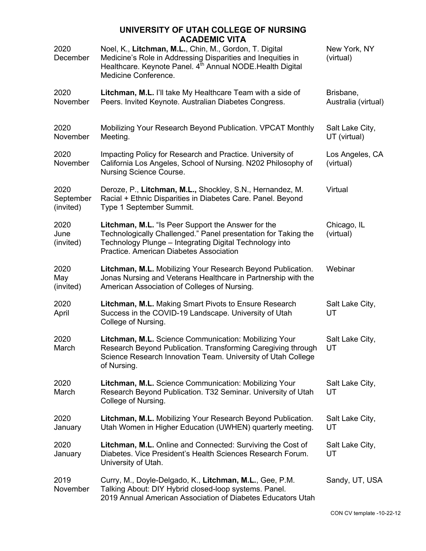| 2020<br>December               | \PLMIV VII.<br>Noel, K., Litchman, M.L., Chin, M., Gordon, T. Digital<br>Medicine's Role in Addressing Disparities and Inequities in<br>Healthcare. Keynote Panel. 4 <sup>th</sup> Annual NODE. Health Digital<br>Medicine Conference. | New York, NY<br>(virtual)        |
|--------------------------------|----------------------------------------------------------------------------------------------------------------------------------------------------------------------------------------------------------------------------------------|----------------------------------|
| 2020<br>November               | Litchman, M.L. I'll take My Healthcare Team with a side of<br>Peers. Invited Keynote. Australian Diabetes Congress.                                                                                                                    | Brisbane,<br>Australia (virtual) |
| 2020<br>November               | Mobilizing Your Research Beyond Publication. VPCAT Monthly<br>Meeting.                                                                                                                                                                 | Salt Lake City,<br>UT (virtual)  |
| 2020<br>November               | Impacting Policy for Research and Practice. University of<br>California Los Angeles, School of Nursing. N202 Philosophy of<br>Nursing Science Course.                                                                                  | Los Angeles, CA<br>(virtual)     |
| 2020<br>September<br>(invited) | Deroze, P., Litchman, M.L., Shockley, S.N., Hernandez, M.<br>Racial + Ethnic Disparities in Diabetes Care. Panel. Beyond<br>Type 1 September Summit.                                                                                   | Virtual                          |
| 2020<br>June<br>(invited)      | Litchman, M.L. "Is Peer Support the Answer for the<br>Technologically Challenged." Panel presentation for Taking the<br>Technology Plunge - Integrating Digital Technology into<br>Practice. American Diabetes Association             | Chicago, IL<br>(virtual)         |
| 2020<br>May<br>(invited)       | Litchman, M.L. Mobilizing Your Research Beyond Publication.<br>Jonas Nursing and Veterans Healthcare in Partnership with the<br>American Association of Colleges of Nursing.                                                           | Webinar                          |
| 2020<br>April                  | Litchman, M.L. Making Smart Pivots to Ensure Research<br>Success in the COVID-19 Landscape. University of Utah<br>College of Nursing.                                                                                                  | Salt Lake City,<br>UT            |
| 2020<br>March                  | Litchman, M.L. Science Communication: Mobilizing Your<br>Research Beyond Publication. Transforming Caregiving through<br>Science Research Innovation Team. University of Utah College<br>of Nursing.                                   | Salt Lake City,<br>UT            |
| 2020<br>March                  | Litchman, M.L. Science Communication: Mobilizing Your<br>Research Beyond Publication. T32 Seminar. University of Utah<br>College of Nursing.                                                                                           | Salt Lake City,<br>UT            |
| 2020<br>January                | Litchman, M.L. Mobilizing Your Research Beyond Publication.<br>Utah Women in Higher Education (UWHEN) quarterly meeting.                                                                                                               | Salt Lake City,<br>UT            |
| 2020<br>January                | Litchman, M.L. Online and Connected: Surviving the Cost of<br>Diabetes. Vice President's Health Sciences Research Forum.<br>University of Utah.                                                                                        | Salt Lake City,<br>UT            |
| 2019<br>November               | Curry, M., Doyle-Delgado, K., Litchman, M.L., Gee, P.M.<br>Talking About: DIY Hybrid closed-loop systems. Panel.<br>2019 Annual American Association of Diabetes Educators Utah                                                        | Sandy, UT, USA                   |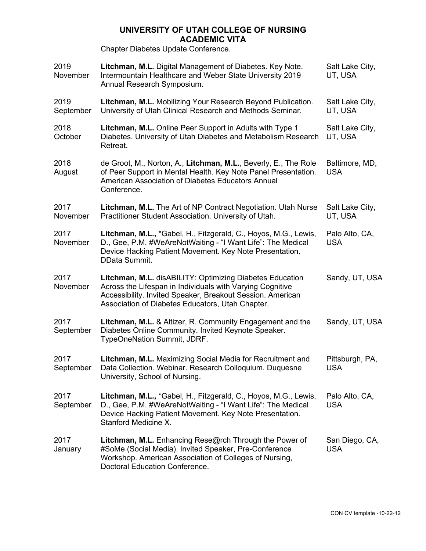Chapter Diabetes Update Conference.

| 2019<br>November  | Litchman, M.L. Digital Management of Diabetes. Key Note.<br>Intermountain Healthcare and Weber State University 2019<br>Annual Research Symposium.                                                                                      | Salt Lake City,<br>UT, USA    |
|-------------------|-----------------------------------------------------------------------------------------------------------------------------------------------------------------------------------------------------------------------------------------|-------------------------------|
| 2019<br>September | Litchman, M.L. Mobilizing Your Research Beyond Publication.<br>University of Utah Clinical Research and Methods Seminar.                                                                                                                | Salt Lake City,<br>UT, USA    |
| 2018<br>October   | Litchman, M.L. Online Peer Support in Adults with Type 1<br>Diabetes. University of Utah Diabetes and Metabolism Research<br>Retreat.                                                                                                   | Salt Lake City,<br>UT, USA    |
| 2018<br>August    | de Groot, M., Norton, A., Litchman, M.L., Beverly, E., The Role<br>of Peer Support in Mental Health. Key Note Panel Presentation.<br>American Association of Diabetes Educators Annual<br>Conference.                                   | Baltimore, MD,<br><b>USA</b>  |
| 2017<br>November  | Litchman, M.L. The Art of NP Contract Negotiation. Utah Nurse<br>Practitioner Student Association. University of Utah.                                                                                                                  | Salt Lake City,<br>UT, USA    |
| 2017<br>November  | Litchman, M.L., *Gabel, H., Fitzgerald, C., Hoyos, M.G., Lewis,<br>D., Gee, P.M. #WeAreNotWaiting - "I Want Life": The Medical<br>Device Hacking Patient Movement. Key Note Presentation.<br>DData Summit.                              | Palo Alto, CA,<br><b>USA</b>  |
| 2017<br>November  | Litchman, M.L. disABILITY: Optimizing Diabetes Education<br>Across the Lifespan in Individuals with Varying Cognitive<br>Accessibility. Invited Speaker, Breakout Session. American<br>Association of Diabetes Educators, Utah Chapter. | Sandy, UT, USA                |
| 2017<br>September | Litchman, M.L. & Altizer, R. Community Engagement and the<br>Diabetes Online Community. Invited Keynote Speaker.<br>TypeOneNation Summit, JDRF.                                                                                         | Sandy, UT, USA                |
| 2017<br>September | Litchman, M.L. Maximizing Social Media for Recruitment and<br>Data Collection. Webinar. Research Colloquium. Duquesne<br>University, School of Nursing.                                                                                 | Pittsburgh, PA,<br><b>USA</b> |
| 2017<br>September | Litchman, M.L., *Gabel, H., Fitzgerald, C., Hoyos, M.G., Lewis,<br>D., Gee, P.M. #WeAreNotWaiting - "I Want Life": The Medical<br>Device Hacking Patient Movement. Key Note Presentation.<br>Stanford Medicine X.                       | Palo Alto, CA,<br><b>USA</b>  |
| 2017<br>January   | Litchman, M.L. Enhancing Rese@rch Through the Power of<br>#SoMe (Social Media). Invited Speaker, Pre-Conference<br>Workshop. American Association of Colleges of Nursing,<br>Doctoral Education Conference.                             | San Diego, CA,<br><b>USA</b>  |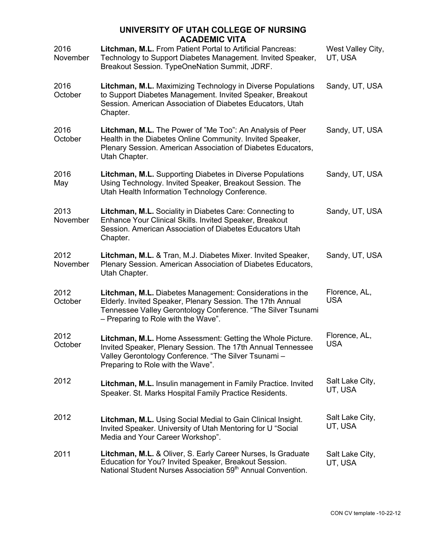| 2016<br>November | AVADLIVIIV VIIA<br>Litchman, M.L. From Patient Portal to Artificial Pancreas:<br>Technology to Support Diabetes Management. Invited Speaker,<br>Breakout Session. TypeOneNation Summit, JDRF.                                  | West Valley City,<br>UT, USA |
|------------------|--------------------------------------------------------------------------------------------------------------------------------------------------------------------------------------------------------------------------------|------------------------------|
| 2016<br>October  | Litchman, M.L. Maximizing Technology in Diverse Populations<br>to Support Diabetes Management. Invited Speaker, Breakout<br>Session. American Association of Diabetes Educators, Utah<br>Chapter.                              | Sandy, UT, USA               |
| 2016<br>October  | Litchman, M.L. The Power of "Me Too": An Analysis of Peer<br>Health in the Diabetes Online Community. Invited Speaker,<br>Plenary Session. American Association of Diabetes Educators,<br>Utah Chapter.                        | Sandy, UT, USA               |
| 2016<br>May      | Litchman, M.L. Supporting Diabetes in Diverse Populations<br>Using Technology. Invited Speaker, Breakout Session. The<br>Utah Health Information Technology Conference.                                                        | Sandy, UT, USA               |
| 2013<br>November | Litchman, M.L. Sociality in Diabetes Care: Connecting to<br>Enhance Your Clinical Skills. Invited Speaker, Breakout<br>Session. American Association of Diabetes Educators Utah<br>Chapter.                                    | Sandy, UT, USA               |
| 2012<br>November | Litchman, M.L. & Tran, M.J. Diabetes Mixer. Invited Speaker,<br>Plenary Session. American Association of Diabetes Educators,<br>Utah Chapter.                                                                                  | Sandy, UT, USA               |
| 2012<br>October  | Litchman, M.L. Diabetes Management: Considerations in the<br>Elderly. Invited Speaker, Plenary Session. The 17th Annual<br>Tennessee Valley Gerontology Conference. "The Silver Tsunami<br>- Preparing to Role with the Wave". | Florence, AL,<br><b>USA</b>  |
| 2012<br>October  | Litchman, M.L. Home Assessment: Getting the Whole Picture.<br>Invited Speaker, Plenary Session. The 17th Annual Tennessee<br>Valley Gerontology Conference. "The Silver Tsunami-<br>Preparing to Role with the Wave".          | Florence, AL,<br><b>USA</b>  |
| 2012             | Litchman, M.L. Insulin management in Family Practice. Invited<br>Speaker. St. Marks Hospital Family Practice Residents.                                                                                                        | Salt Lake City,<br>UT, USA   |
| 2012             | Litchman, M.L. Using Social Medial to Gain Clinical Insight.<br>Invited Speaker. University of Utah Mentoring for U "Social<br>Media and Your Career Workshop".                                                                | Salt Lake City,<br>UT, USA   |
| 2011             | Litchman, M.L. & Oliver, S. Early Career Nurses, Is Graduate<br>Education for You? Invited Speaker, Breakout Session.<br>National Student Nurses Association 59 <sup>th</sup> Annual Convention.                               | Salt Lake City,<br>UT, USA   |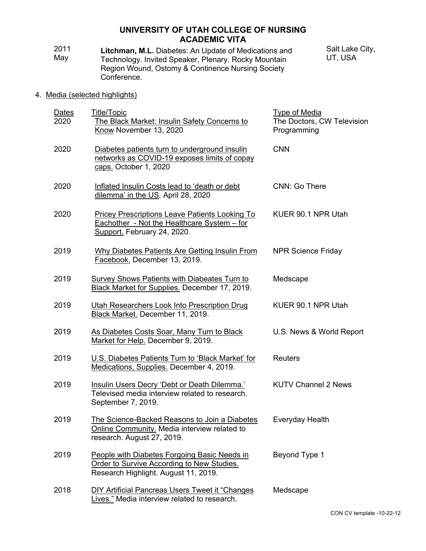- 2011 May **Litchman, M.L.** Diabetes: An Update of Medications and Technology. Invited Speaker, Plenary. Rocky Mountain Region Wound, Ostomy & Continence Nursing Society Conference. Salt Lake City, UT, USA
- 4. Media (selected highlights)

| <b>Dates</b><br>2020 | Title/Topic<br>The Black Market: Insulin Safety Concerns to<br>Know November 13, 2020                                              | <b>Type of Media</b><br>The Doctors, CW Television<br>Programming |
|----------------------|------------------------------------------------------------------------------------------------------------------------------------|-------------------------------------------------------------------|
| 2020                 | Diabetes patients turn to underground insulin<br>networks as COVID-19 exposes limits of copay<br>caps. October 1, 2020             | <b>CNN</b>                                                        |
| 2020                 | Inflated Insulin Costs lead to 'death or debt<br>dilemma' in the US. April 28, 2020                                                | CNN: Go There                                                     |
| 2020                 | Pricey Prescriptions Leave Patients Looking To<br>Eachother - Not the Healthcare System - for<br>Support. February 24, 2020.       | KUER 90.1 NPR Utah                                                |
| 2019                 | Why Diabetes Patients Are Getting Insulin From<br>Facebook. December 13, 2019.                                                     | <b>NPR Science Friday</b>                                         |
| 2019                 | Survey Shows Patients with Diabeates Turn to<br>Black Market for Supplies. December 17, 2019.                                      | Medscape                                                          |
| 2019                 | Utah Researchers Look Into Prescription Drug<br>Black Market. December 11, 2019.                                                   | KUER 90.1 NPR Utah                                                |
| 2019                 | As Diabetes Costs Soar, Many Turn to Black<br>Market for Help. December 9, 2019.                                                   | U.S. News & World Report                                          |
| 2019                 | U.S. Diabetes Patients Turn to 'Black Market' for<br>Medications, Supplies. December 4, 2019.                                      | <b>Reuters</b>                                                    |
| 2019                 | Insulin Users Decry 'Debt or Death Dilemma.'<br>Televised media interview related to research.<br>September 7, 2019.               | <b>KUTV Channel 2 News</b>                                        |
| 2019                 | The Science-Backed Reasons to Join a Diabetes<br>Online Community. Media interview related to<br>research. August 27, 2019.        | Everyday Health                                                   |
| 2019                 | People with Diabetes Forgoing Basic Needs in<br>Order to Survive According to New Studies.<br>Research Highlight. August 11, 2019. | Beyond Type 1                                                     |
| 2018                 | DIY Artificial Pancreas Users Tweet it "Changes<br>Lives." Media interview related to research.                                    | Medscape                                                          |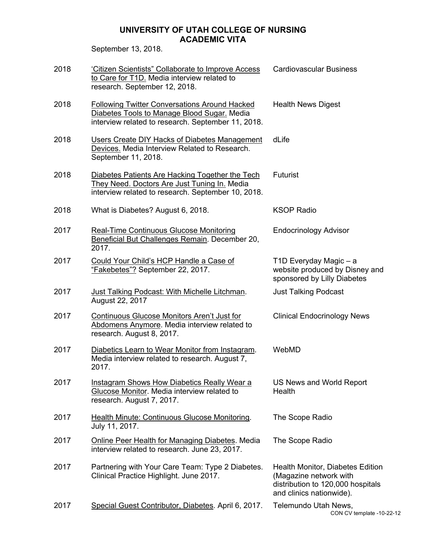September 13, 2018.

| 2018 | 'Citizen Scientists" Collaborate to Improve Access<br>to Care for T1D. Media interview related to<br>research. September 12, 2018.                        | <b>Cardiovascular Business</b>                                                                                                     |
|------|-----------------------------------------------------------------------------------------------------------------------------------------------------------|------------------------------------------------------------------------------------------------------------------------------------|
| 2018 | <b>Following Twitter Conversations Around Hacked</b><br>Diabetes Tools to Manage Blood Sugar. Media<br>interview related to research. September 11, 2018. | <b>Health News Digest</b>                                                                                                          |
| 2018 | Users Create DIY Hacks of Diabetes Management<br>Devices. Media Interview Related to Research.<br>September 11, 2018.                                     | dLife                                                                                                                              |
| 2018 | Diabetes Patients Are Hacking Together the Tech<br>They Need. Doctors Are Just Tuning In. Media<br>interview related to research. September 10, 2018.     | <b>Futurist</b>                                                                                                                    |
| 2018 | What is Diabetes? August 6, 2018.                                                                                                                         | <b>KSOP Radio</b>                                                                                                                  |
| 2017 | Real-Time Continuous Glucose Monitoring<br>Beneficial But Challenges Remain. December 20,<br>2017.                                                        | <b>Endocrinology Advisor</b>                                                                                                       |
| 2017 | Could Your Child's HCP Handle a Case of<br>"Fakebetes"? September 22, 2017.                                                                               | T1D Everyday Magic - a<br>website produced by Disney and<br>sponsored by Lilly Diabetes                                            |
| 2017 | <b>Just Talking Podcast: With Michelle Litchman.</b><br>August 22, 2017                                                                                   | <b>Just Talking Podcast</b>                                                                                                        |
| 2017 | Continuous Glucose Monitors Aren't Just for<br>Abdomens Anymore. Media interview related to<br>research. August 8, 2017.                                  | <b>Clinical Endocrinology News</b>                                                                                                 |
| 2017 | Diabetics Learn to Wear Monitor from Instagram.<br>Media interview related to research. August 7,<br>2017.                                                | WebMD                                                                                                                              |
| 2017 | Instagram Shows How Diabetics Really Wear a<br>Glucose Monitor. Media interview related to<br>research. August 7, 2017.                                   | US News and World Report<br>Health                                                                                                 |
| 2017 | Health Minute: Continuous Glucose Monitoring.<br>July 11, 2017.                                                                                           | The Scope Radio                                                                                                                    |
| 2017 | <b>Online Peer Health for Managing Diabetes. Media</b><br>interview related to research. June 23, 2017.                                                   | The Scope Radio                                                                                                                    |
| 2017 | Partnering with Your Care Team: Type 2 Diabetes.<br>Clinical Practice Highlight. June 2017.                                                               | <b>Health Monitor, Diabetes Edition</b><br>(Magazine network with<br>distribution to 120,000 hospitals<br>and clinics nationwide). |
| 2017 | Special Guest Contributor, Diabetes. April 6, 2017.                                                                                                       | Telemundo Utah News,<br>CON CV template -10-22-12                                                                                  |